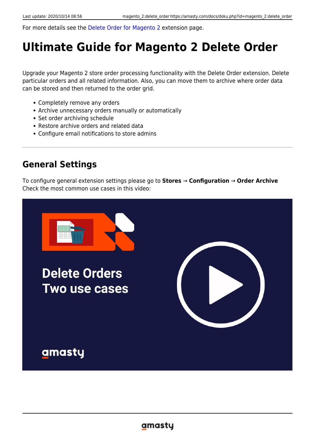For more details see the [Delete Order for Magento 2](https://amasty.com/delete-order-for-magento-2.html) extension page.

# **Ultimate Guide for Magento 2 Delete Order**

Upgrade your Magento 2 store order processing functionality with the Delete Order extension. Delete particular orders and all related information. Also, you can move them to archive where order data can be stored and then returned to the order grid.

- Completely remove any orders
- Archive unnecessary orders manually or automatically
- Set order archiving schedule
- Restore archive orders and related data
- Configure email notifications to store admins

# **General Settings**

To configure general extension settings please go to **Stores** → **Configuration** → **Order Archive** Check the most common use cases in this video:

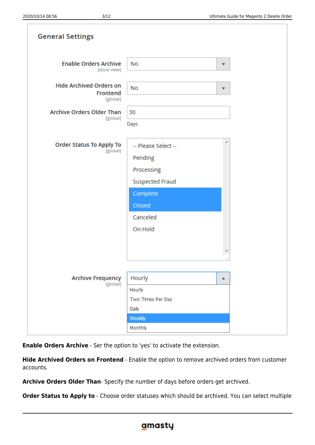| the contract of the contract of the contract of the contract of the contract of the contract of the contract of |  |  |
|-----------------------------------------------------------------------------------------------------------------|--|--|
|                                                                                                                 |  |  |
|                                                                                                                 |  |  |
|                                                                                                                 |  |  |
|                                                                                                                 |  |  |
|                                                                                                                 |  |  |
|                                                                                                                 |  |  |
|                                                                                                                 |  |  |
|                                                                                                                 |  |  |
|                                                                                                                 |  |  |
|                                                                                                                 |  |  |
|                                                                                                                 |  |  |

| <b>General Settings</b>                                |                                                                                                                     |                         |
|--------------------------------------------------------|---------------------------------------------------------------------------------------------------------------------|-------------------------|
| <b>Enable Orders Archive</b><br>[store view]           | No                                                                                                                  | ▼                       |
| <b>Hide Archived Orders on</b><br>Frontend<br>[global] | <b>No</b>                                                                                                           | $\overline{\mathbf{v}}$ |
| <b>Archive Orders Older Than</b><br>[global]           | 30<br>Days                                                                                                          |                         |
| <b>Order Status To Apply To</b><br>[global]            | -- Please Select --<br>Pending<br>Processing<br><b>Suspected Fraud</b><br>Complete<br>Closed<br>Canceled<br>On Hold | ×.                      |
| <b>Archive Frequency</b><br>[global]                   | Hourly<br>Hourly<br>Two Times Per Day<br>Daily<br>Weekly                                                            | a1<br>▲                 |
|                                                        | Monthly                                                                                                             |                         |

**Enable Orders Archive** - Ser the option to 'yes' to activate the extension.

**Hide Archived Orders on Frontend** - Enable the option to remove archived orders from customer accounts.

**Archive Orders Older Than**- Specify the number of days before orders get archived.

**Order Status to Apply to** - Choose order statuses which should be archived. You can select multiple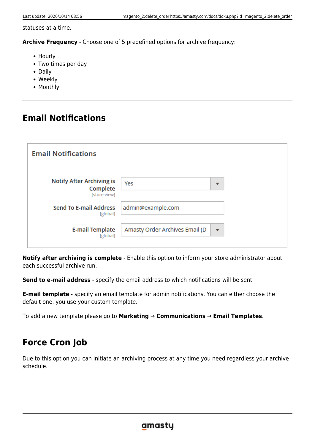statuses at a time.

**Archive Frequency** - Choose one of 5 predefined options for archive frequency:

- Hourly
- Two times per day
- Daily
- Weekly
- Monthly

# **Email Notifications**

| <b>Email Notifications</b>                                   |                                |                          |  |
|--------------------------------------------------------------|--------------------------------|--------------------------|--|
| <b>Notify After Archiving is</b><br>Complete<br>[store view] | Yes                            | $\overline{\phantom{a}}$ |  |
| <b>Send To E-mail Address</b><br>[global]                    | admin@example.com              |                          |  |
| <b>E-mail Template</b><br>[global]                           | Amasty Order Archives Email (D | $\overline{\phantom{a}}$ |  |

**Notify after archiving is complete** - Enable this option to inform your store administrator about each successful archive run.

**Send to e-mail address** - specify the email address to which notifications will be sent.

**E-mail template** - specify an email template for admin notifications. You can either choose the default one, you use your custom template.

To add a new template please go to **Marketing** → **Communications** → **Email Templates**.

# **Force Cron Job**

Due to this option you can initiate an archiving process at any time you need regardless your archive schedule.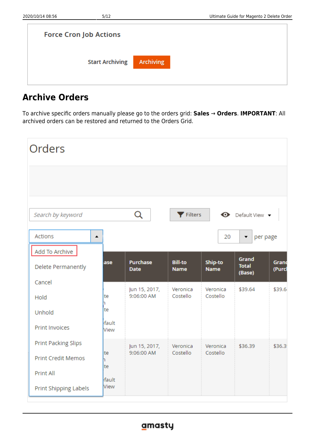| <b>Force Cron Job Actions</b> |                  |  |  |
|-------------------------------|------------------|--|--|
| <b>Start Archiving</b>        | <b>Archiving</b> |  |  |

# **Archive Orders**

To archive specific orders manually please go to the orders grid: **Sales** → **Orders**. **IMPORTANT**: All archived orders can be restored and returned to the Orders Grid.

| Orders                             |               |                             |                               |                        |                                 |                 |
|------------------------------------|---------------|-----------------------------|-------------------------------|------------------------|---------------------------------|-----------------|
|                                    |               |                             |                               |                        |                                 |                 |
| Search by keyword                  |               | Q                           | Filters                       |                        | <b>←</b> Default View ▼         |                 |
| <b>Actions</b><br>$\blacktriangle$ |               |                             |                               | 20                     | per page<br>▼                   |                 |
| Add To Archive                     |               |                             |                               |                        |                                 |                 |
| Delete Permanently                 | ase           | Purchase<br><b>Date</b>     | <b>Bill-to</b><br><b>Name</b> | Ship-to<br><b>Name</b> | Grand<br><b>Total</b><br>(Base) | Grand<br>(Purcl |
| Cancel                             |               |                             |                               |                        |                                 |                 |
| Hold                               | te<br>n       | Jun 15, 2017,<br>9:06:00 AM | Veronica<br>Costello          | Veronica<br>Costello   | \$39.64                         | \$39.6          |
| Unhold                             | te            |                             |                               |                        |                                 |                 |
| <b>Print Invoices</b>              | fault<br>View |                             |                               |                        |                                 |                 |
| Print Packing Slips                |               | Jun 15, 2017,               | Veronica                      | Veronica               | \$36.39                         | \$36.3          |
| <b>Print Credit Memos</b>          | te<br>h.      | 9:06:00 AM                  | Costello                      | Costello               |                                 |                 |
| Print All                          | te<br>fault   |                             |                               |                        |                                 |                 |
| Print Shipping Labels              | View          |                             |                               |                        |                                 |                 |

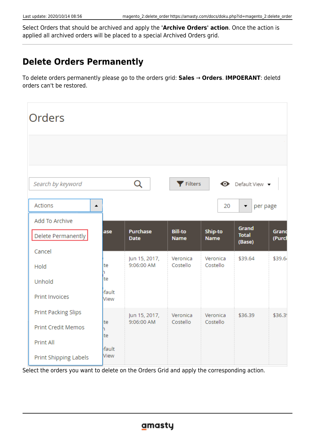Select Orders that should be archived and apply the **'Archive Orders' action**. Once the action is applied all archived orders will be placed to a special Archived Orders grid.

# **Delete Orders Permanently**

To delete orders permanently please go to the orders grid: **Sales** → **Orders**. **IMPOERANT**: deletd orders can't be restored.

| Orders                      |               |                                |                               |                        |                                  |                 |
|-----------------------------|---------------|--------------------------------|-------------------------------|------------------------|----------------------------------|-----------------|
|                             |               |                                |                               |                        |                                  |                 |
| Search by keyword           |               | Q                              | Filters                       |                        | $\bullet$ Default View $\bullet$ |                 |
| Actions<br>$\blacktriangle$ |               |                                |                               | 20                     | per page<br>▼                    |                 |
| Add To Archive              |               |                                |                               |                        |                                  |                 |
| Delete Permanently          | ase           | <b>Purchase</b><br><b>Date</b> | <b>Bill-to</b><br><b>Name</b> | Ship-to<br><b>Name</b> | Grand<br><b>Total</b><br>(Base)  | Grand<br>(Purci |
| Cancel                      |               |                                | Veronica                      | Veronica               | \$39.64                          | \$39.64         |
| Hold                        | te            | Jun 15, 2017,<br>9:06:00 AM    | Costello                      | Costello               |                                  |                 |
| Unhold                      | te            |                                |                               |                        |                                  |                 |
| <b>Print Invoices</b>       | fault<br>View |                                |                               |                        |                                  |                 |
| <b>Print Packing Slips</b>  |               | Jun 15, 2017,                  | Veronica                      | Veronica               | \$36.39                          | \$36.39         |
| <b>Print Credit Memos</b>   | te            | 9:06:00 AM                     | Costello                      | Costello               |                                  |                 |
| <b>Print All</b>            | te<br>fault   |                                |                               |                        |                                  |                 |
| Print Shipping Labels       | View          |                                |                               |                        |                                  |                 |

Select the orders you want to delete on the Orders Grid and apply the corresponding action.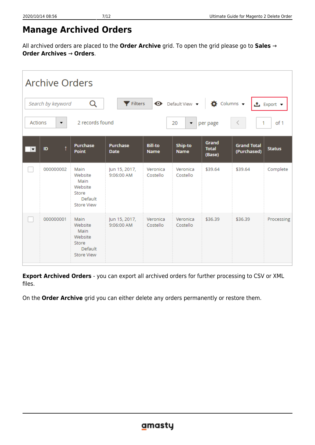# **Manage Archived Orders**

All archived orders are placed to the **Order Archive** grid. To open the grid please go to **Sales** → **Order Archives** → **Orders**.

| <b>Archive Orders</b>                                                                                              |           |                                                                             |                                |                               |                               |                                 |                                   |               |  |
|--------------------------------------------------------------------------------------------------------------------|-----------|-----------------------------------------------------------------------------|--------------------------------|-------------------------------|-------------------------------|---------------------------------|-----------------------------------|---------------|--|
| Q<br>Filters<br>$\bullet$ Default View $\bullet$<br>$\bullet$ Columns $\bullet$<br>Search by keyword<br>± Export ▼ |           |                                                                             |                                |                               |                               |                                 |                                   |               |  |
| Actions                                                                                                            | ▼         | 2 records found                                                             |                                |                               | 20<br>$\blacktriangledown$    | per page                        | 1                                 | of 1          |  |
| $\blacktriangledown$                                                                                               | ID        | Purchase<br><b>Point</b>                                                    | <b>Purchase</b><br><b>Date</b> | <b>Bill-to</b><br><b>Name</b> | <b>Ship-to</b><br><b>Name</b> | Grand<br><b>Total</b><br>(Base) | <b>Grand Total</b><br>(Purchased) | <b>Status</b> |  |
|                                                                                                                    | 000000002 | Main<br>Website<br>Main<br>Website<br>Store<br>Default<br><b>Store View</b> | Jun 15, 2017,<br>9:06:00 AM    | Veronica<br>Costello          | Veronica<br>Costello          | \$39.64                         | \$39.64                           | Complete      |  |
|                                                                                                                    | 000000001 | Main<br>Website<br>Main<br>Website<br>Store<br>Default<br><b>Store View</b> | Jun 15, 2017,<br>9:06:00 AM    | Veronica<br>Costello          | Veronica<br>Costello          | \$36.39                         | \$36.39                           | Processing    |  |

**Export Archived Orders** - you can export all archived orders for further processing to CSV or XML files.

On the **Order Archive** grid you can either delete any orders permanently or restore them.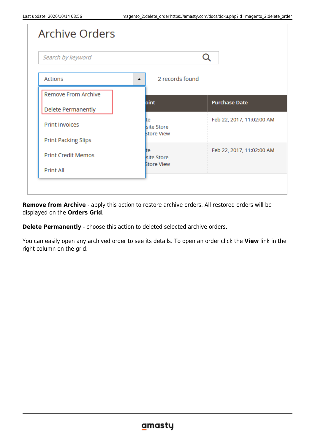| <b>Archive Orders</b>      |                                     |                           |
|----------------------------|-------------------------------------|---------------------------|
| Search by keyword          |                                     |                           |
| <b>Actions</b>             | 2 records found<br>$\blacktriangle$ |                           |
| <b>Remove From Archive</b> | oint                                | <b>Purchase Date</b>      |
| <b>Delete Permanently</b>  |                                     |                           |
| <b>Print Invoices</b>      | lte<br>site Store                   | Feb 22, 2017, 11:02:00 AM |
| <b>Print Packing Slips</b> | <b>Store View</b>                   |                           |
| <b>Print Credit Memos</b>  | lte<br>site Store                   | Feb 22, 2017, 11:02:00 AM |
| <b>Print All</b>           | <b>Store View</b>                   |                           |

**Remove from Archive** - apply this action to restore archive orders. All restored orders will be displayed on the **Orders Grid**.

**Delete Permanently** - choose this action to deleted selected archive orders.

You can easily open any archived order to see its details. To open an order click the **View** link in the right column on the grid.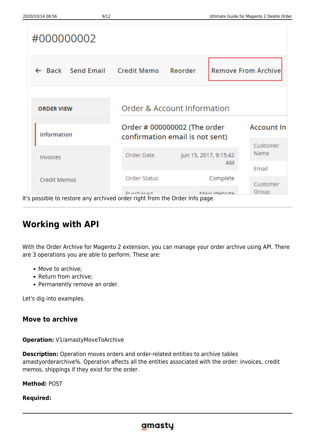| #000000002                                                                  |                                                                 |                       |              |                            |
|-----------------------------------------------------------------------------|-----------------------------------------------------------------|-----------------------|--------------|----------------------------|
| $\leftarrow$ Back Send Email Credit Memo                                    |                                                                 | Reorder               |              | <b>Remove From Archive</b> |
| <b>ORDER VIEW</b>                                                           | Order & Account Information                                     |                       |              |                            |
| <b>Information</b>                                                          | Order # 000000002 (The order<br>confirmation email is not sent) |                       |              | <b>Account In</b>          |
| <b>Invoices</b>                                                             | Order Date                                                      | Jun 15, 2017, 9:15:42 | ΑM           | Customer<br>Name           |
| <b>Credit Memos</b>                                                         | Order Status                                                    |                       | Complete     | Email<br>Customer          |
| It's possible to restore any archived order right from the Order Info page. | <b>Durchacad</b>                                                |                       | Main Wahcita | Group                      |

# **Working with API**

With the Order Archive for Magento 2 extension, you can manage your order archive using API. There are 3 operations you are able to perform. These are:

- Move to archive;
- Return from archive;
- Permanently remove an order.

Let's dig into examples.

### **Move to archive**

**Operation:** V1/amastyMoveToArchive

**Description:** Operation moves orders and order-related entities to archive tables amastyorderarchive%. Operation affects all the entities associated with the order: invoices, credit memos, shippings if they exist for the order.

**Method:** POST

### **Required:**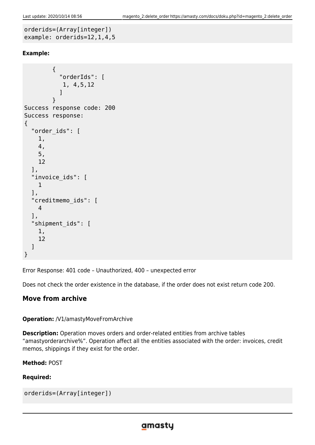```
orderids=(Array[integer])
example: orderids=12,1,4,5
```
### **Example:**

```
 {
            "orderIds": [
             1, 4,5,12
 ]
 }
Success response code: 200
Success response:
{
   "order_ids": [
     1,
     4,
     5,
     12
   ],
   "invoice_ids": [
     1
   ],
   "creditmemo_ids": [
     4
   ],
   "shipment_ids": [
     1,
     12
   ]
}
```
Error Response: 401 code – Unauthorized, 400 – unexpected error

Does not check the order existence in the database, if the order does not exist return code 200.

### **Move from archive**

### **Operation:** /V1/amastyMoveFromArchive

**Description:** Operation moves orders and order-related entities from archive tables "amastyorderarchive%". Operation affect all the entities associated with the order: invoices, credit memos, shippings if they exist for the order.

### **Method:** POST

### **Required:**

```
orderids=(Array[integer])
```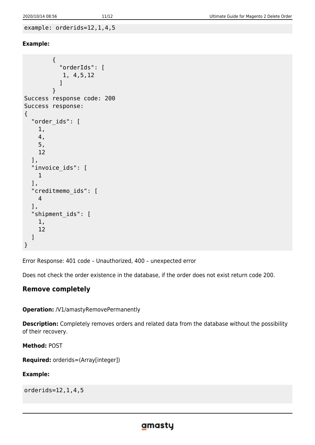```
example: orderids=12,1,4,5
```
### **Example:**

```
 {
            "orderIds": [
            1, 4,5,12
 ]
 }
Success response code: 200
Success response:
{
   "order_ids": [
     1,
     4,
     5,
     12
   ],
   "invoice_ids": [
     1
   ],
   "creditmemo_ids": [
     4
   ],
   "shipment_ids": [
     1,
     12
   ]
}
```
Error Response: 401 code – Unauthorized, 400 – unexpected error

Does not check the order existence in the database, if the order does not exist return code 200.

### **Remove completely**

**Operation:** /V1/amastyRemovePermanently

**Description:** Completely removes orders and related data from the database without the possibility of their recovery.

**Method:** POST

```
Required: orderids=(Array[integer])
```
### **Example:**

orderids=12,1,4,5